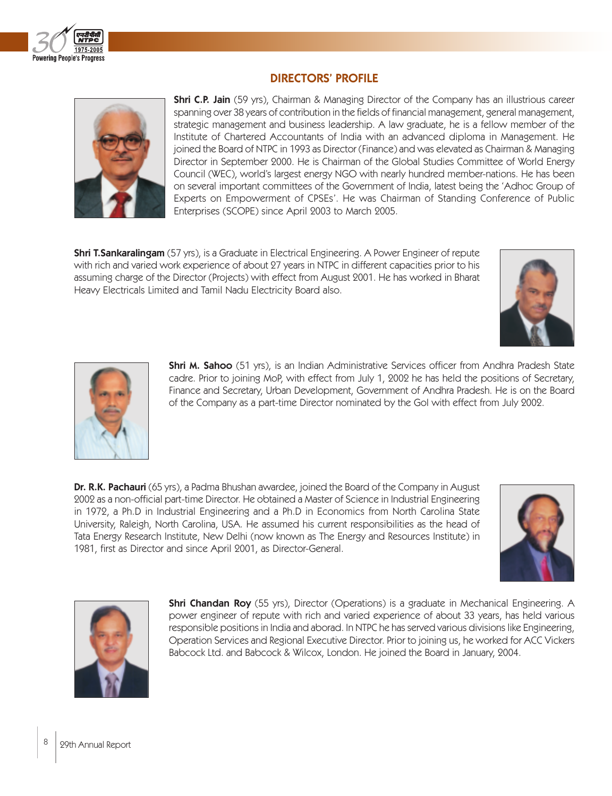

## DIRECTORS' PROFILE



**Shri C.P. Jain** (59 yrs), Chairman & Managing Director of the Company has an illustrious career spanning over 38 years of contribution in the fields of financial management, general management, strategic management and business leadership. A law graduate, he is a fellow member of the Institute of Chartered Accountants of India with an advanced diploma in Management. He joined the Board of NTPC in 1993 as Director (Finance) and was elevated as Chairman & Managing Director in September 2000. He is Chairman of the Global Studies Committee of World Energy Council (WEC), world's largest energy NGO with nearly hundred member-nations. He has been on several important committees of the Government of India, latest being the 'Adhoc Group of Experts on Empowerment of CPSEs'. He was Chairman of Standing Conference of Public Enterprises (SCOPE) since April 2003 to March 2005.

**Shri T.Sankaralingam** (57 yrs), is a Graduate in Electrical Engineering. A Power Engineer of repute with rich and varied work experience of about 27 years in NTPC in different capacities prior to his assuming charge of the Director (Projects) with effect from August 2001. He has worked in Bharat Heavy Electricals Limited and Tamil Nadu Electricity Board also.





**Shri M. Sahoo** (51 yrs), is an Indian Administrative Services officer from Andhra Pradesh State cadre. Prior to joining MoP, with effect from July 1, 2002 he has held the positions of Secretary, Finance and Secretary, Urban Development, Government of Andhra Pradesh. He is on the Board of the Company as a part-time Director nominated by the GoI with effect from July 2002.

Dr. R.K. Pachauri (65 yrs), a Padma Bhushan awardee, joined the Board of the Company in August 2002 as a non-official part-time Director. He obtained a Master of Science in Industrial Engineering in 1972, a Ph.D in Industrial Engineering and a Ph.D in Economics from North Carolina State University, Raleigh, North Carolina, USA. He assumed his current responsibilities as the head of Tata Energy Research Institute, New Delhi (now known as The Energy and Resources Institute) in 1981, first as Director and since April 2001, as Director-General.





**Shri Chandan Roy** (55 yrs), Director (Operations) is a graduate in Mechanical Engineering. A power engineer of repute with rich and varied experience of about 33 years, has held various responsible positions in India and aborad. In NTPC he has served various divisions like Engineering, Operation Services and Regional Executive Director. Prior to joining us, he worked for ACC Vickers Babcock Ltd. and Babcock & Wilcox, London. He joined the Board in January, 2004.